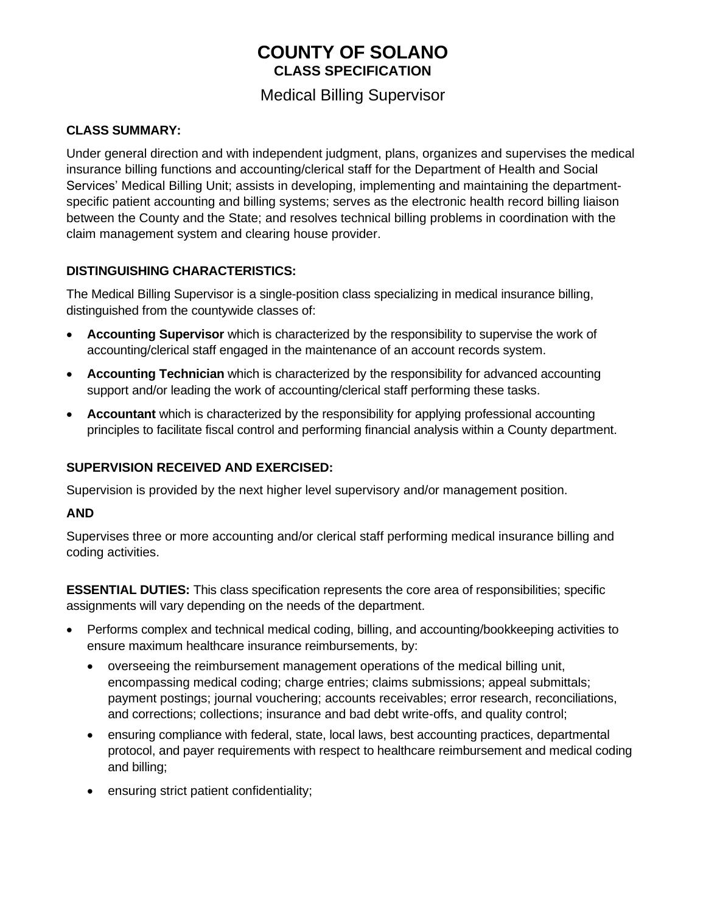# **COUNTY OF SOLANO CLASS SPECIFICATION**

## Medical Billing Supervisor

#### **CLASS SUMMARY:**

Under general direction and with independent judgment, plans, organizes and supervises the medical insurance billing functions and accounting/clerical staff for the Department of Health and Social Services' Medical Billing Unit; assists in developing, implementing and maintaining the departmentspecific patient accounting and billing systems; serves as the electronic health record billing liaison between the County and the State; and resolves technical billing problems in coordination with the claim management system and clearing house provider.

### **DISTINGUISHING CHARACTERISTICS:**

The Medical Billing Supervisor is a single-position class specializing in medical insurance billing, distinguished from the countywide classes of:

- **Accounting Supervisor** which is characterized by the responsibility to supervise the work of accounting/clerical staff engaged in the maintenance of an account records system.
- **Accounting Technician** which is characterized by the responsibility for advanced accounting support and/or leading the work of accounting/clerical staff performing these tasks.
- **Accountant** which is characterized by the responsibility for applying professional accounting principles to facilitate fiscal control and performing financial analysis within a County department.

### **SUPERVISION RECEIVED AND EXERCISED:**

Supervision is provided by the next higher level supervisory and/or management position.

#### **AND**

Supervises three or more accounting and/or clerical staff performing medical insurance billing and coding activities.

**ESSENTIAL DUTIES:** This class specification represents the core area of responsibilities; specific assignments will vary depending on the needs of the department.

- Performs complex and technical medical coding, billing, and accounting/bookkeeping activities to ensure maximum healthcare insurance reimbursements, by:
	- overseeing the reimbursement management operations of the medical billing unit, encompassing medical coding; charge entries; claims submissions; appeal submittals; payment postings; journal vouchering; accounts receivables; error research, reconciliations, and corrections; collections; insurance and bad debt write-offs, and quality control;
	- ensuring compliance with federal, state, local laws, best accounting practices, departmental protocol, and payer requirements with respect to healthcare reimbursement and medical coding and billing;
	- ensuring strict patient confidentiality;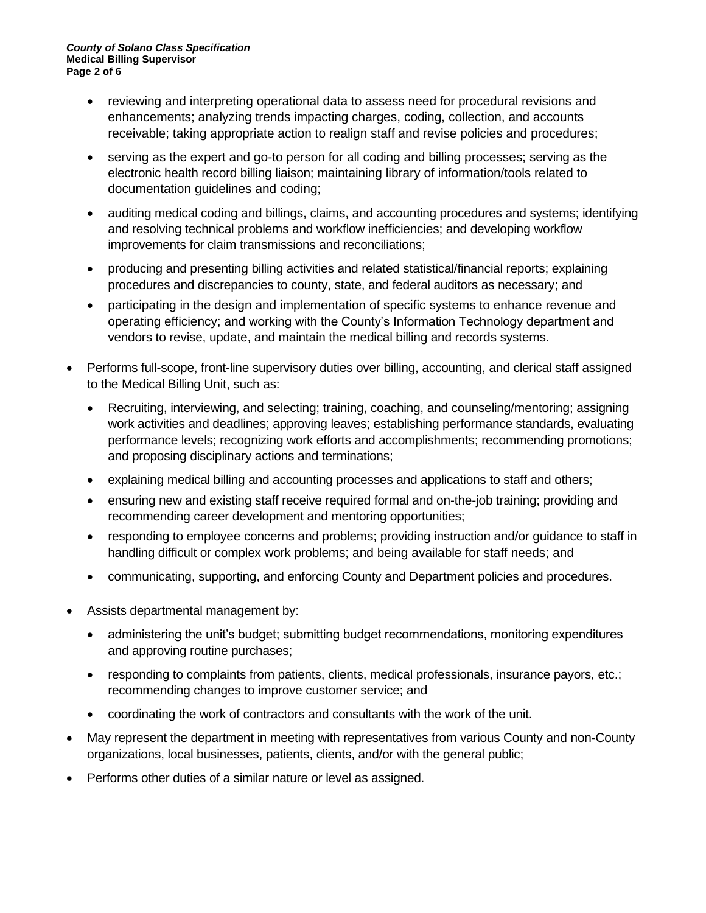- reviewing and interpreting operational data to assess need for procedural revisions and enhancements; analyzing trends impacting charges, coding, collection, and accounts receivable; taking appropriate action to realign staff and revise policies and procedures;
- serving as the expert and go-to person for all coding and billing processes; serving as the electronic health record billing liaison; maintaining library of information/tools related to documentation guidelines and coding;
- auditing medical coding and billings, claims, and accounting procedures and systems; identifying and resolving technical problems and workflow inefficiencies; and developing workflow improvements for claim transmissions and reconciliations;
- producing and presenting billing activities and related statistical/financial reports; explaining procedures and discrepancies to county, state, and federal auditors as necessary; and
- participating in the design and implementation of specific systems to enhance revenue and operating efficiency; and working with the County's Information Technology department and vendors to revise, update, and maintain the medical billing and records systems.
- Performs full-scope, front-line supervisory duties over billing, accounting, and clerical staff assigned to the Medical Billing Unit, such as:
	- Recruiting, interviewing, and selecting; training, coaching, and counseling/mentoring; assigning work activities and deadlines; approving leaves; establishing performance standards, evaluating performance levels; recognizing work efforts and accomplishments; recommending promotions; and proposing disciplinary actions and terminations;
	- explaining medical billing and accounting processes and applications to staff and others;
	- ensuring new and existing staff receive required formal and on-the-job training; providing and recommending career development and mentoring opportunities;
	- responding to employee concerns and problems; providing instruction and/or guidance to staff in handling difficult or complex work problems; and being available for staff needs; and
	- communicating, supporting, and enforcing County and Department policies and procedures.
- Assists departmental management by:
	- administering the unit's budget; submitting budget recommendations, monitoring expenditures and approving routine purchases;
	- responding to complaints from patients, clients, medical professionals, insurance payors, etc.; recommending changes to improve customer service; and
	- coordinating the work of contractors and consultants with the work of the unit.
- May represent the department in meeting with representatives from various County and non-County organizations, local businesses, patients, clients, and/or with the general public;
- Performs other duties of a similar nature or level as assigned.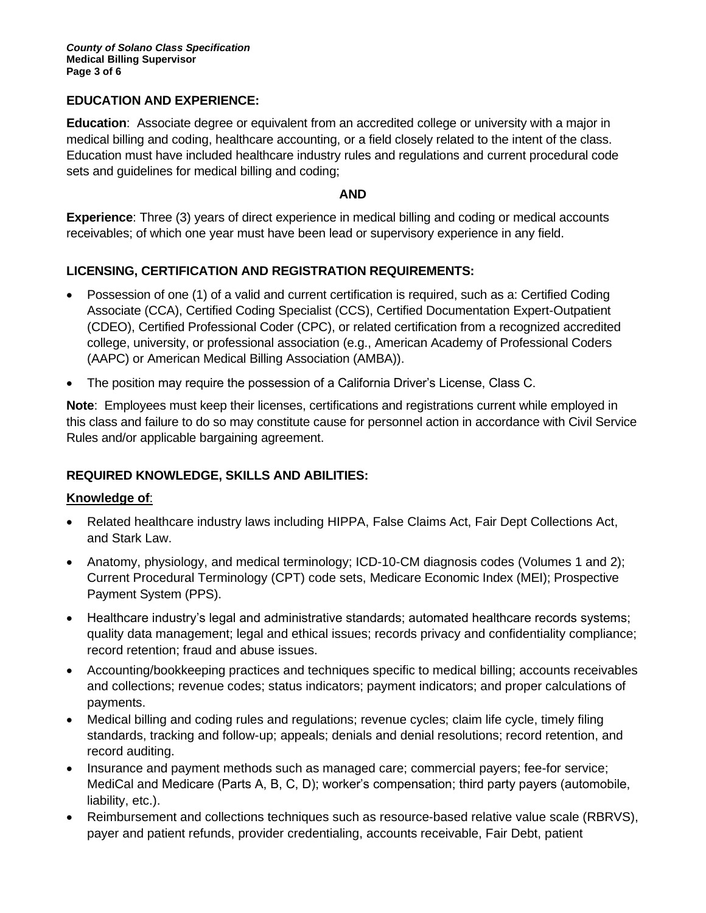#### **EDUCATION AND EXPERIENCE:**

**Education**: Associate degree or equivalent from an accredited college or university with a major in medical billing and coding, healthcare accounting, or a field closely related to the intent of the class. Education must have included healthcare industry rules and regulations and current procedural code sets and guidelines for medical billing and coding;

#### **AND**

**Experience**: Three (3) years of direct experience in medical billing and coding or medical accounts receivables; of which one year must have been lead or supervisory experience in any field.

### **LICENSING, CERTIFICATION AND REGISTRATION REQUIREMENTS:**

- Possession of one (1) of a valid and current certification is required, such as a: Certified Coding Associate (CCA), Certified Coding Specialist (CCS), Certified Documentation Expert-Outpatient (CDEO), Certified Professional Coder (CPC), or related certification from a recognized accredited college, university, or professional association (e.g., American Academy of Professional Coders (AAPC) or American Medical Billing Association (AMBA)).
- The position may require the possession of a California Driver's License, Class C.

**Note**: Employees must keep their licenses, certifications and registrations current while employed in this class and failure to do so may constitute cause for personnel action in accordance with Civil Service Rules and/or applicable bargaining agreement.

#### **REQUIRED KNOWLEDGE, SKILLS AND ABILITIES:**

#### **Knowledge of**:

- Related healthcare industry laws including HIPPA, False Claims Act, Fair Dept Collections Act, and Stark Law.
- Anatomy, physiology, and medical terminology; ICD-10-CM diagnosis codes (Volumes 1 and 2); Current Procedural Terminology (CPT) code sets, Medicare Economic Index (MEI); Prospective Payment System (PPS).
- Healthcare industry's legal and administrative standards; automated healthcare records systems; quality data management; legal and ethical issues; records privacy and confidentiality compliance; record retention; fraud and abuse issues.
- Accounting/bookkeeping practices and techniques specific to medical billing; accounts receivables and collections; revenue codes; status indicators; payment indicators; and proper calculations of payments.
- Medical billing and coding rules and regulations; revenue cycles; claim life cycle, timely filing standards, tracking and follow-up; appeals; denials and denial resolutions; record retention, and record auditing.
- Insurance and payment methods such as managed care; commercial payers; fee-for service; MediCal and Medicare (Parts A, B, C, D); worker's compensation; third party payers (automobile, liability, etc.).
- Reimbursement and collections techniques such as resource-based relative value scale (RBRVS), payer and patient refunds, provider credentialing, accounts receivable, Fair Debt, patient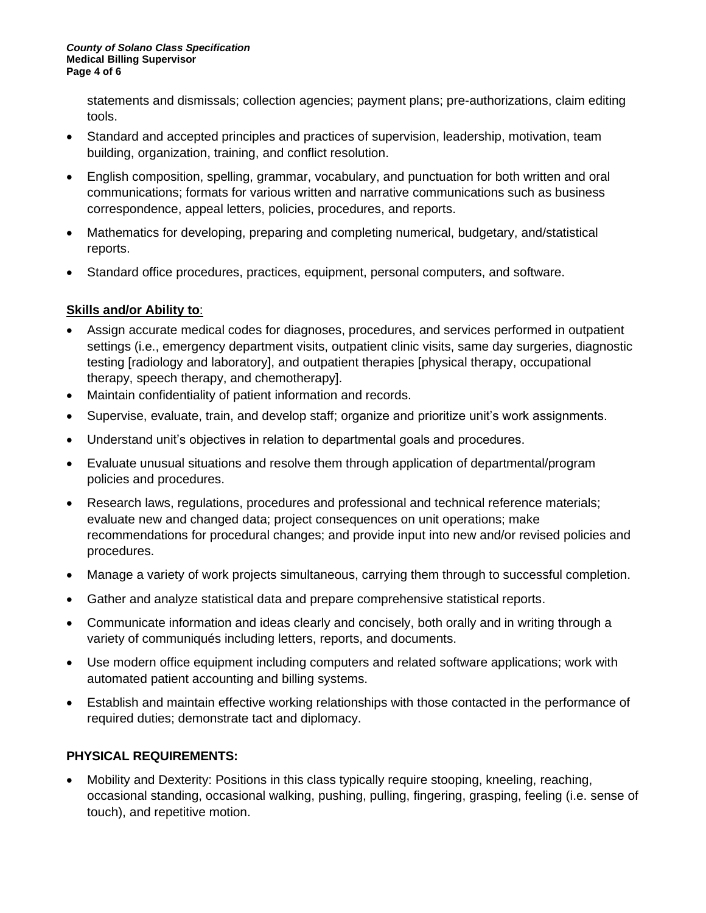statements and dismissals; collection agencies; payment plans; pre-authorizations, claim editing tools.

- Standard and accepted principles and practices of supervision, leadership, motivation, team building, organization, training, and conflict resolution.
- English composition, spelling, grammar, vocabulary, and punctuation for both written and oral communications; formats for various written and narrative communications such as business correspondence, appeal letters, policies, procedures, and reports.
- Mathematics for developing, preparing and completing numerical, budgetary, and/statistical reports.
- Standard office procedures, practices, equipment, personal computers, and software.

### **Skills and/or Ability to**:

- Assign accurate medical codes for diagnoses, procedures, and services performed in outpatient settings (i.e., emergency department visits, outpatient clinic visits, same day surgeries, diagnostic testing [radiology and laboratory], and outpatient therapies [physical therapy, occupational therapy, speech therapy, and chemotherapy].
- Maintain confidentiality of patient information and records.
- Supervise, evaluate, train, and develop staff; organize and prioritize unit's work assignments.
- Understand unit's objectives in relation to departmental goals and procedures.
- Evaluate unusual situations and resolve them through application of departmental/program policies and procedures.
- Research laws, regulations, procedures and professional and technical reference materials; evaluate new and changed data; project consequences on unit operations; make recommendations for procedural changes; and provide input into new and/or revised policies and procedures.
- Manage a variety of work projects simultaneous, carrying them through to successful completion.
- Gather and analyze statistical data and prepare comprehensive statistical reports.
- Communicate information and ideas clearly and concisely, both orally and in writing through a variety of communiqués including letters, reports, and documents.
- Use modern office equipment including computers and related software applications; work with automated patient accounting and billing systems.
- Establish and maintain effective working relationships with those contacted in the performance of required duties; demonstrate tact and diplomacy.

### **PHYSICAL REQUIREMENTS:**

• Mobility and Dexterity: Positions in this class typically require stooping, kneeling, reaching, occasional standing, occasional walking, pushing, pulling, fingering, grasping, feeling (i.e. sense of touch), and repetitive motion.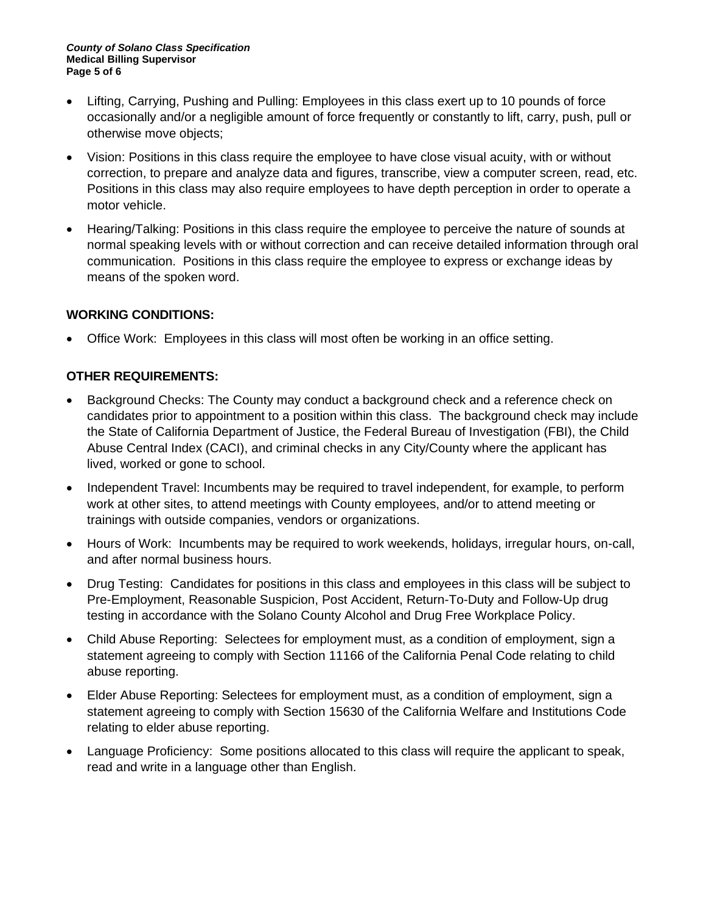#### *County of Solano Class Specification* **Medical Billing Supervisor Page 5 of 6**

- Lifting, Carrying, Pushing and Pulling: Employees in this class exert up to 10 pounds of force occasionally and/or a negligible amount of force frequently or constantly to lift, carry, push, pull or otherwise move objects;
- Vision: Positions in this class require the employee to have close visual acuity, with or without correction, to prepare and analyze data and figures, transcribe, view a computer screen, read, etc. Positions in this class may also require employees to have depth perception in order to operate a motor vehicle.
- Hearing/Talking: Positions in this class require the employee to perceive the nature of sounds at normal speaking levels with or without correction and can receive detailed information through oral communication. Positions in this class require the employee to express or exchange ideas by means of the spoken word.

#### **WORKING CONDITIONS:**

• Office Work: Employees in this class will most often be working in an office setting.

### **OTHER REQUIREMENTS:**

- Background Checks: The County may conduct a background check and a reference check on candidates prior to appointment to a position within this class. The background check may include the State of California Department of Justice, the Federal Bureau of Investigation (FBI), the Child Abuse Central Index (CACI), and criminal checks in any City/County where the applicant has lived, worked or gone to school.
- Independent Travel: Incumbents may be required to travel independent, for example, to perform work at other sites, to attend meetings with County employees, and/or to attend meeting or trainings with outside companies, vendors or organizations.
- Hours of Work: Incumbents may be required to work weekends, holidays, irregular hours, on-call, and after normal business hours.
- Drug Testing: Candidates for positions in this class and employees in this class will be subject to Pre-Employment, Reasonable Suspicion, Post Accident, Return-To-Duty and Follow-Up drug testing in accordance with the Solano County Alcohol and Drug Free Workplace Policy.
- Child Abuse Reporting: Selectees for employment must, as a condition of employment, sign a statement agreeing to comply with Section 11166 of the California Penal Code relating to child abuse reporting.
- Elder Abuse Reporting: Selectees for employment must, as a condition of employment, sign a statement agreeing to comply with Section 15630 of the California Welfare and Institutions Code relating to elder abuse reporting.
- Language Proficiency: Some positions allocated to this class will require the applicant to speak, read and write in a language other than English.